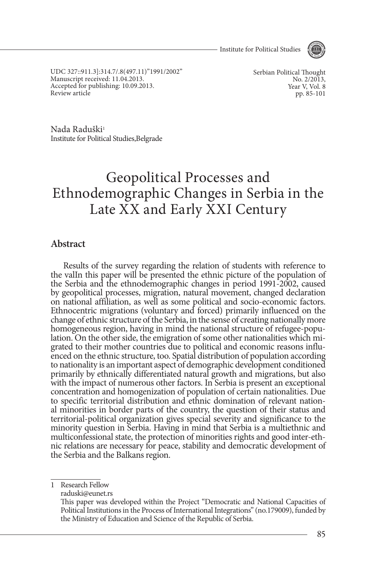- Institute for Political Studies



UDC 327::911.3]:314.7/.8(497.11)"1991/2002" Manuscript received: 11.04.2013. Accepted for publishing: 10.09.2013. Review article

Serbian Political Thought No. 2/2013. Year V, Vol. 8 pp. 85-101

Nada Raduški<sup>1</sup> Institute for Political Studies,Belgrade

# Geopolitical Processes and Ethnodemographic Changes in Serbia in the Late XX and Early XXI Century

### **Abstract**

Results of the survey regarding the relation of students with reference to the valIn this paper will be presented the ethnic picture of the population of the Serbia and the ethnodemographic changes in period 1991-2002, caused by geopolitical processes, migration, natural movement, changed declaration on national affiliation, as well as some political and socio-economic factors. Ethnocentric migrations (voluntary and forced) primarily influenced on the change of ethnic structure of the Serbia, in the sense of creating nationally more homogeneous region, having in mind the national structure of refugee-population. On the other side, the emigration of some other nationalities which migrated to their mother countries due to political and economic reasons to nationality is an important aspect of demographic development conditioned primarily by ethnically differentiated natural growth and migrations, but also with the impact of numerous other factors. In Serbia is present an exceptional concentration and homogenization of population of certain nationalities. Due to specific territorial distribution and ethnic domination of relevant nation- al minorities in border parts of the country, the question of their status and territorial-political organization gives special severity and significance to the minority question in Serbia. Having in mind that Serbia is a multiethnic and multiconfessional state, the protection of minorities rights and good inter-ethnic relations are necessary for peace, stability and democratic development of the Serbia and the Balkans region.

1 Research Fellow

raduski@eunet.rs

This paper was developed within the Project "Democratic and National Capacities of Political Institutions in the Process of International Integrations" (no.179009), funded by the Ministry of Education and Science of the Republic of Serbia.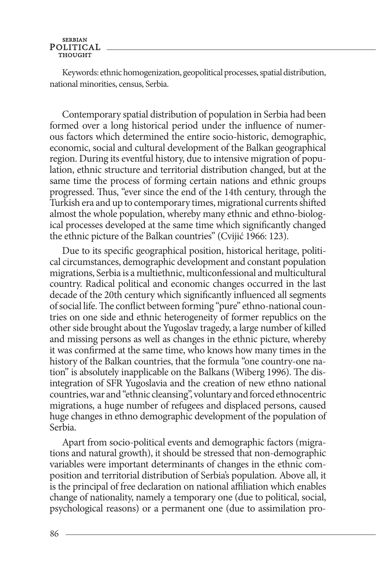Keywords: ethnic homogenization, geopolitical processes, spatial distribution, national minorities, census, Serbia.

Contemporary spatial distribution of population in Serbia had been formed over a long historical period under the influence of numerous factors which determined the entire socio-historic, demographic, economic, social and cultural development of the Balkan geographical region. During its eventful history, due to intensive migration of population, ethnic structure and territorial distribution changed, but at the same time the process of forming certain nations and ethnic groups progressed. Thus, "ever since the end of the 14th century, through the Turkish era and up to contemporary times, migrational currents shifted almost the whole population, whereby many ethnic and ethno-biological processes developed at the same time which significantly changed the ethnic picture of the Balkan countries" (Cvijić 1966: 123).

Due to its specific geographical position, historical heritage, political circumstances, demographic development and constant population migrations, Serbia is a multiethnic, multiconfessional and multicultural country. Radical political and economic changes occurred in the last decade of the 20th century which significantly influenced all segments of social life. The conflict between forming "pure" ethno-national countries on one side and ethnic heterogeneity of former republics on the other side brought about the Yugoslav tragedy, a large number of killed and missing persons as well as changes in the ethnic picture, whereby it was confirmed at the same time, who knows how many times in the history of the Balkan countries, that the formula "one country-one nation" is absolutely inapplicable on the Balkans (Wiberg 1996). The disintegration of SFR Yugoslavia and the creation of new ethno national countries, war and "ethnic cleansing", voluntary and forced ethnocentric migrations, a huge number of refugees and displaced persons, caused huge changes in ethno demographic development of the population of Serbia.

Apart from socio-political events and demographic factors (migrations and natural growth), it should be stressed that non-demographic variables were important determinants of changes in the ethnic composition and territorial distribution of Serbia's population. Above all, it is the principal of free declaration on national affiliation which enables change of nationality, namely a temporary one (due to political, social, psychological reasons) or a permanent one (due to assimilation pro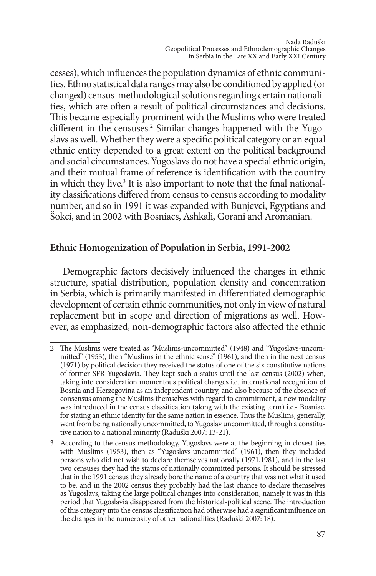cesses), which influences the population dynamics of ethnic communities. Ethno statistical data ranges may also be conditioned by applied (or changed) census-methodological solutions regarding certain nationalities, which are often a result of political circumstances and decisions. This became especially prominent with the Muslims who were treated different in the censuses.<sup>2</sup> Similar changes happened with the Yugoslavs as well. Whether they were a specific political category or an equal ethnic entity depended to a great extent on the political background and social circumstances. Yugoslavs do not have a special ethnic origin, and their mutual frame of reference is identification with the country in which they live.<sup>3</sup> It is also important to note that the final nationality classifications differed from census to census according to modality number, and so in 1991 it was expanded with Bunjevci, Egyptians and Šokci, and in 2002 with Bosniacs, Ashkali, Gorani and Aromanian.

# **Ethnic homogenization of population in Serbia, 1991-2002**

Demographic factors decisively influenced the changes in ethnic structure, spatial distribution, population density and concentration in Serbia, which is primarily manifested in differentiated demographic development of certain ethnic communities, not only in view of natural replacement but in scope and direction of migrations as well. However, as emphasized, non-demographic factors also affected the ethnic

<sup>2</sup> The Muslims were treated as "Muslims-uncommitted" (1948) and "Yugoslavs-uncommitted" (1953), then "Muslims in the ethnic sense" (1961), and then in the next census (1971) by political decision they received the status of one of the six constitutive nations of former SFR Yugoslavia. They kept such a status until the last census (2002) when, taking into consideration momentous political changes i.e. international recognition of Bosnia and Herzegovina as an independent country, and also because of the absence of consensus among the Muslims themselves with regard to commitment, a new modality was introduced in the census classification (along with the existing term) i.e.- Bosniac, for stating an ethnic identity for the same nation in essence. Thus the Muslims, generally, went from being nationally uncommitted, to Yugoslav uncommitted, through a constitutive nation to a national minority (Raduški 2007: 13-21).

<sup>3</sup> According to the census methodology, Yugoslavs were at the beginning in closest ties with Muslims (1953), then as "Yugoslavs-uncommitted" (1961), then they included persons who did not wish to declare themselves nationally (1971,1981), and in the last two censuses they had the status of nationally committed persons. It should be stressed that in the 1991 census they already bore the name of a country that was not what it used to be, and in the 2002 census they probably had the last chance to declare themselves as Yugoslavs, taking the large political changes into consideration, namely it was in this period that Yugoslavia disappeared from the historical-political scene. The introduction of this category into the census classification had otherwise had a significant influence on the changes in the numerosity of other nationalities (Raduški 2007: 18).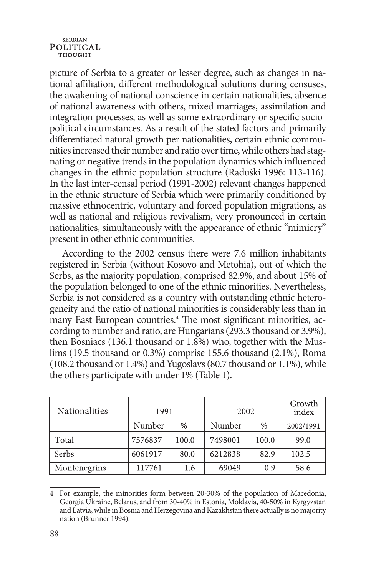picture of Serbia to a greater or lesser degree, such as changes in national affiliation, different methodological solutions during censuses, the awakening of national conscience in certain nationalities, absence of national awareness with others, mixed marriages, assimilation and integration processes, as well as some extraordinary or specific sociopolitical circumstances. As a result of the stated factors and primarily differentiated natural growth per nationalities, certain ethnic communities increased their number and ratio over time, while others had stagnating or negative trends in the population dynamics which influenced changes in the ethnic population structure (Raduški 1996: 113-116). In the last inter-censal period (1991-2002) relevant changes happened in the ethnic structure of Serbia which were primarily conditioned by massive ethnocentric, voluntary and forced population migrations, as well as national and religious revivalism, very pronounced in certain nationalities, simultaneously with the appearance of ethnic "mimicry" present in other ethnic communities.

According to the 2002 census there were 7.6 million inhabitants registered in Serbia (without Kosovo and Metohia), out of which the Serbs, as the majority population, comprised 82.9%, and about 15% of the population belonged to one of the ethnic minorities. Nevertheless, Serbia is not considered as a country with outstanding ethnic heterogeneity and the ratio of national minorities is considerably less than in many East European countries.<sup>4</sup> The most significant minorities, according to number and ratio, are Hungarians (293.3 thousand or 3.9%), then Bosniacs (136.1 thousand or 1.8%) who, together with the Muslims (19.5 thousand or 0.3%) comprise 155.6 thousand (2.1%), Roma (108.2 thousand or 1.4%) and Yugoslavs (80.7 thousand or 1.1%), while the others participate with under 1% (Table 1).

| <b>Nationalities</b> | 1991    |       | 2002    |       | Growth<br>index |
|----------------------|---------|-------|---------|-------|-----------------|
|                      | Number  | $\%$  | Number  | $\%$  | 2002/1991       |
| Total                | 7576837 | 100.0 | 7498001 | 100.0 | 99.0            |
| <b>Serbs</b>         | 6061917 | 80.0  | 6212838 | 82.9  | 102.5           |
| Montenegrins         | 117761  | 1.6   | 69049   | 0.9   | 58.6            |

<sup>4</sup> For example, the minorities form between 20-30% of the population of Macedonia, Georgia Ukraine, Belarus, and from 30-40% in Estonia, Moldavia, 40-50% in Kyrgyzstan and Latvia, while in Bosnia and Herzegovina and Kazakhstan there actually is no majority nation (Brunner 1994).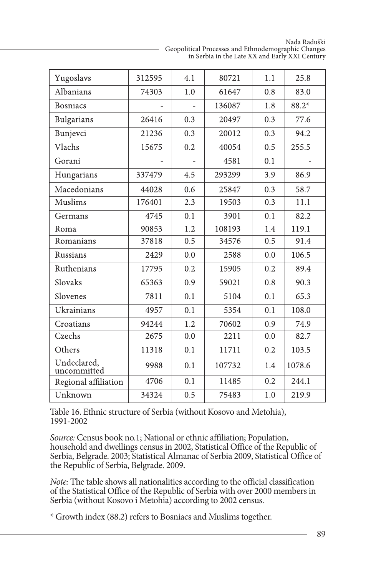Nada Raduški Geopolitical Processes and Ethnodemographic Changes in Serbia in the Late XX and Early XXI Century

| Yugoslavs                  | 312595 | 4.1 | 80721  | 1.1 | 25.8   |
|----------------------------|--------|-----|--------|-----|--------|
| Albanians                  | 74303  | 1.0 | 61647  | 0.8 | 83.0   |
| <b>Bosniacs</b>            |        | L,  | 136087 | 1.8 | 88.2*  |
| Bulgarians                 | 26416  | 0.3 | 20497  | 0.3 | 77.6   |
| Bunjevci                   | 21236  | 0.3 | 20012  | 0.3 | 94.2   |
| Vlachs                     | 15675  | 0.2 | 40054  | 0.5 | 255.5  |
| Gorani                     |        |     | 4581   | 0.1 |        |
| Hungarians                 | 337479 | 4.5 | 293299 | 3.9 | 86.9   |
| Macedonians                | 44028  | 0.6 | 25847  | 0.3 | 58.7   |
| Muslims                    | 176401 | 2.3 | 19503  | 0.3 | 11.1   |
| Germans                    | 4745   | 0.1 | 3901   | 0.1 | 82.2   |
| Roma                       | 90853  | 1.2 | 108193 | 1.4 | 119.1  |
| Romanians                  | 37818  | 0.5 | 34576  | 0.5 | 91.4   |
| <b>Russians</b>            | 2429   | 0.0 | 2588   | 0.0 | 106.5  |
| Ruthenians                 | 17795  | 0.2 | 15905  | 0.2 | 89.4   |
| Slovaks                    | 65363  | 0.9 | 59021  | 0.8 | 90.3   |
| Slovenes                   | 7811   | 0.1 | 5104   | 0.1 | 65.3   |
| Ukrainians                 | 4957   | 0.1 | 5354   | 0.1 | 108.0  |
| Croatians                  | 94244  | 1.2 | 70602  | 0.9 | 74.9   |
| Czechs                     | 2675   | 0.0 | 2211   | 0.0 | 82.7   |
| Others                     | 11318  | 0.1 | 11711  | 0.2 | 103.5  |
| Undeclared,<br>uncommitted | 9988   | 0.1 | 107732 | 1.4 | 1078.6 |
| Regional affiliation       | 4706   | 0.1 | 11485  | 0.2 | 244.1  |
| Unknown                    | 34324  | 0.5 | 75483  | 1.0 | 219.9  |

Table 16. Ethnic structure of Serbia (without Kosovo and Metohia), 1991-2002

*Source:* Census book no.1; National or ethnic affiliation; Population, household and dwellings census in 2002, Statistical Office of the Republic of Serbia, Belgrade. 2003; Statistical Almanac of Serbia 2009, Statistical Office of the Republic of Serbia, Belgrade. 2009.

*Note:* The table shows all nationalities according to the official classification of the Statistical Office of the Republic of Serbia with over 2000 members in Serbia (without Kosovo i Metohia) according to 2002 census.

\* Growth index (88.2) refers to Bosniacs and Muslims together.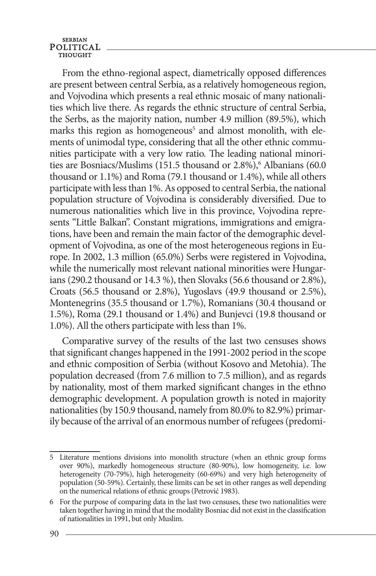From the ethno-regional aspect, diametrically opposed differences are present between central Serbia, as a relatively homogeneous region, and Vojvodina which presents a real ethnic mosaic of many nationalities which live there. As regards the ethnic structure of central Serbia, the Serbs, as the majority nation, number 4.9 million (89.5%), which marks this region as homogeneous<sup>5</sup> and almost monolith, with elements of unimodal type, considering that all the other ethnic communities participate with a very low ratio. The leading national minorities are Bosniacs/Muslims (151.5 thousand or 2.8%),<sup>6</sup> Albanians (60.0 thousand or 1.1%) and Roma (79.1 thousand or 1.4%), while all others participate with less than 1%. As opposed to central Serbia, the national population structure of Vojvodina is considerably diversified. Due to numerous nationalities which live in this province, Vojvodina represents "Little Balkan". Constant migrations, immigrations and emigrations, have been and remain the main factor of the demographic development of Vojvodina, as one of the most heterogeneous regions in Europe. In 2002, 1.3 million (65.0%) Serbs were registered in Vojvodina, while the numerically most relevant national minorities were Hungarians (290.2 thousand or 14.3 %), then Slovaks (56.6 thousand or 2.8%), Croats (56.5 thousand or 2.8%), Yugoslavs (49.9 thousand or 2.5%), Montenegrins (35.5 thousand or 1.7%), Romanians (30.4 thousand or 1.5%), Roma (29.1 thousand or 1.4%) and Bunjevci (19.8 thousand or 1.0%). All the others participate with less than 1%.

Comparative survey of the results of the last two censuses shows that significant changes happened in the 1991-2002 period in the scope and ethnic composition of Serbia (without Kosovo and Metohia). The population decreased (from 7.6 million to 7.5 million), and as regards by nationality, most of them marked significant changes in the ethno demographic development. A population growth is noted in majority nationalities (by 150.9 thousand, namely from 80.0% to 82.9%) primarily because of the arrival of an enormous number of refugees (predomi-

<sup>5</sup> Literature mentions divisions into monolith structure (when an ethnic group forms over 90%), markedly homogeneous structure (80-90%), low homogeneity, i.e. low heterogeneity (70-79%), high heterogeneity (60-69%) and very high heterogeneity of population (50-59%). Certainly, these limits can be set in other ranges as well depending on the numerical relations of ethnic groups (Petrović 1983).

<sup>6</sup> For the purpose of comparing data in the last two censuses, these two nationalities were taken together having in mind that the modality Bosniac did not exist in the classification of nationalities in 1991, but only Muslim.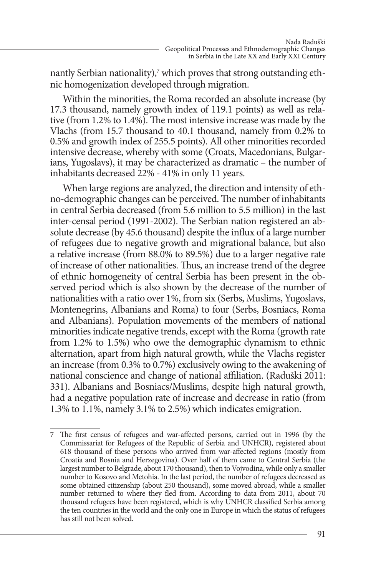nantly Serbian nationality),<sup>7</sup> which proves that strong outstanding ethnic homogenization developed through migration.

Within the minorities, the Roma recorded an absolute increase (by 17.3 thousand, namely growth index of 119.1 points) as well as relative (from 1.2% to 1.4%). The most intensive increase was made by the Vlachs (from 15.7 thousand to 40.1 thousand, namely from 0.2% to 0.5% and growth index of 255.5 points). All other minorities recorded intensive decrease, whereby with some (Croats, Macedonians, Bulgarians, Yugoslavs), it may be characterized as dramatic – the number of inhabitants decreased 22% - 41% in only 11 years.

When large regions are analyzed, the direction and intensity of ethno-demographic changes can be perceived. The number of inhabitants in central Serbia decreased (from 5.6 million to 5.5 million) in the last inter-censal period (1991-2002). The Serbian nation registered an absolute decrease (by 45.6 thousand) despite the influx of a large number of refugees due to negative growth and migrational balance, but also a relative increase (from 88.0% to 89.5%) due to a larger negative rate of increase of other nationalities. Thus, an increase trend of the degree of ethnic homogeneity of central Serbia has been present in the observed period which is also shown by the decrease of the number of nationalities with a ratio over 1%, from six (Serbs, Muslims, Yugoslavs, Montenegrins, Albanians and Roma) to four (Serbs, Bosniacs, Roma and Albanians). Population movements of the members of national minorities indicate negative trends, except with the Roma (growth rate from 1.2% to 1.5%) who owe the demographic dynamism to ethnic alternation, apart from high natural growth, while the Vlachs register an increase (from 0.3% to 0.7%) exclusively owing to the awakening of national conscience and change of national affiliation. (Raduški 2011: 331). Albanians and Bosniacs/Muslims, despite high natural growth, had a negative population rate of increase and decrease in ratio (from 1.3% to 1.1%, namely 3.1% to 2.5%) which indicates emigration.

<sup>7</sup> The first census of refugees and war-affected persons, carried out in 1996 (by the Commissariat for Refugees of the Republic of Serbia and UNHCR), registered about 618 thousand of these persons who arrived from war-affected regions (mostly from Croatia and Bosnia and Herzegovina). Over half of them came to Central Serbia (the largest number to Belgrade, about 170 thousand), then to Vojvodina, while only a smaller number to Kosovo and Metohia. In the last period, the number of refugees decreased as some obtained citizenship (about 250 thousand), some moved abroad, while a smaller number returned to where they fled from. According to data from 2011, about 70 thousand refugees have been registered, which is why UNHCR classified Serbia among the ten countries in the world and the only one in Europe in which the status of refugees has still not been solved.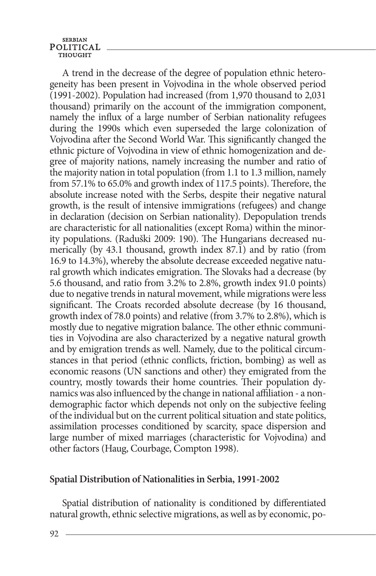A trend in the decrease of the degree of population ethnic heterogeneity has been present in Vojvodina in the whole observed period (1991-2002). Population had increased (from 1,970 thousand to 2,031 thousand) primarily on the account of the immigration component, namely the influx of a large number of Serbian nationality refugees during the 1990s which even superseded the large colonization of Vojvodina after the Second World War. This significantly changed the ethnic picture of Vojvodina in view of ethnic homogenization and degree of majority nations, namely increasing the number and ratio of the majority nation in total population (from 1.1 to 1.3 million, namely from 57.1% to 65.0% and growth index of 117.5 points). Therefore, the absolute increase noted with the Serbs, despite their negative natural growth, is the result of intensive immigrations (refugees) and change in declaration (decision on Serbian nationality). Depopulation trends are characteristic for all nationalities (except Roma) within the minority populations. (Raduški 2009: 190). The Hungarians decreased numerically (by 43.1 thousand, growth index 87.1) and by ratio (from 16.9 to 14.3%), whereby the absolute decrease exceeded negative natural growth which indicates emigration. The Slovaks had a decrease (by 5.6 thousand, and ratio from 3.2% to 2.8%, growth index 91.0 points) due to negative trends in natural movement, while migrations were less significant. The Croats recorded absolute decrease (by 16 thousand, growth index of 78.0 points) and relative (from 3.7% to 2.8%), which is mostly due to negative migration balance. The other ethnic communities in Vojvodina are also characterized by a negative natural growth and by emigration trends as well. Namely, due to the political circumstances in that period (ethnic conflicts, friction, bombing) as well as economic reasons (UN sanctions and other) they emigrated from the country, mostly towards their home countries. Their population dynamics was also influenced by the change in national affiliation - a nondemographic factor which depends not only on the subjective feeling of the individual but on the current political situation and state politics, assimilation processes conditioned by scarcity, space dispersion and large number of mixed marriages (characteristic for Vojvodina) and other factors (Haug, Courbage, Compton 1998).

### **Spatial Distribution of Nationalities in Serbia, 1991-2002**

Spatial distribution of nationality is conditioned by differentiated natural growth, ethnic selective migrations, as well as by economic, po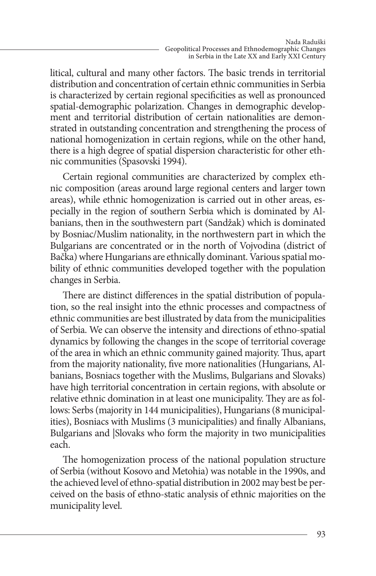litical, cultural and many other factors. The basic trends in territorial distribution and concentration of certain ethnic communities in Serbia is characterized by certain regional specificities as well as pronounced spatial-demographic polarization. Changes in demographic development and territorial distribution of certain nationalities are demonstrated in outstanding concentration and strengthening the process of national homogenization in certain regions, while on the other hand, there is a high degree of spatial dispersion characteristic for other ethnic communities (Spasovski 1994).

Certain regional communities are characterized by complex ethnic composition (areas around large regional centers and larger town areas), while ethnic homogenization is carried out in other areas, especially in the region of southern Serbia which is dominated by Albanians, then in the southwestern part (Sandžak) which is dominated by Bosniac/Muslim nationality, in the northwestern part in which the Bulgarians are concentrated or in the north of Vojvodina (district of Bačka) where Hungarians are ethnically dominant. Various spatial mobility of ethnic communities developed together with the population changes in Serbia.

There are distinct differences in the spatial distribution of population, so the real insight into the ethnic processes and compactness of ethnic communities are best illustrated by data from the municipalities of Serbia. We can observe the intensity and directions of ethno-spatial dynamics by following the changes in the scope of territorial coverage of the area in which an ethnic community gained majority. Thus, apart from the majority nationality, five more nationalities (Hungarians, Albanians, Bosniacs together with the Muslims, Bulgarians and Slovaks) have high territorial concentration in certain regions, with absolute or relative ethnic domination in at least one municipality. They are as follows: Serbs (majority in 144 municipalities), Hungarians (8 municipalities), Bosniacs with Muslims (3 municipalities) and finally Albanians, Bulgarians and |Slovaks who form the majority in two municipalities each.

The homogenization process of the national population structure of Serbia (without Kosovo and Metohia) was notable in the 1990s, and the achieved level of ethno-spatial distribution in 2002 may best be perceived on the basis of ethno-static analysis of ethnic majorities on the municipality level.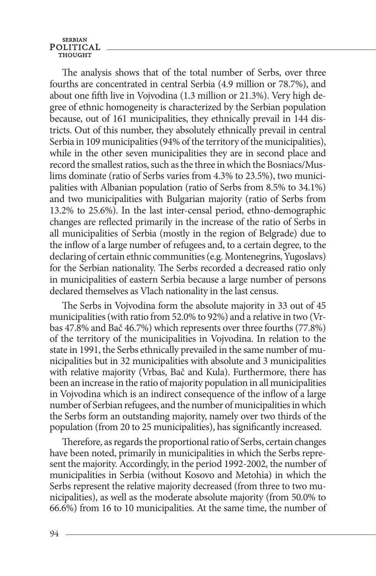The analysis shows that of the total number of Serbs, over three fourths are concentrated in central Serbia (4.9 million or 78.7%), and about one fifth live in Vojvodina (1.3 million or 21.3%). Very high degree of ethnic homogeneity is characterized by the Serbian population because, out of 161 municipalities, they ethnically prevail in 144 districts. Out of this number, they absolutely ethnically prevail in central Serbia in 109 municipalities (94% of the territory of the municipalities), while in the other seven municipalities they are in second place and record the smallest ratios, such as the three in which the Bosniacs/Muslims dominate (ratio of Serbs varies from 4.3% to 23.5%), two municipalities with Albanian population (ratio of Serbs from 8.5% to 34.1%) and two municipalities with Bulgarian majority (ratio of Serbs from 13.2% to 25.6%). In the last inter-censal period, ethno-demographic changes are reflected primarily in the increase of the ratio of Serbs in all municipalities of Serbia (mostly in the region of Belgrade) due to the inflow of a large number of refugees and, to a certain degree, to the declaring of certain ethnic communities (e.g. Montenegrins, Yugoslavs) for the Serbian nationality. The Serbs recorded a decreased ratio only in municipalities of eastern Serbia because a large number of persons declared themselves as Vlach nationality in the last census.

The Serbs in Vojvodina form the absolute majority in 33 out of 45 municipalities (with ratio from 52.0% to 92%) and a relative in two (Vrbas 47.8% and Bač 46.7%) which represents over three fourths (77.8%) of the territory of the municipalities in Vojvodina. In relation to the state in 1991, the Serbs ethnically prevailed in the same number of municipalities but in 32 municipalities with absolute and 3 municipalities with relative majority (Vrbas, Bač and Kula). Furthermore, there has been an increase in the ratio of majority population in all municipalities in Vojvodina which is an indirect consequence of the inflow of a large number of Serbian refugees, and the number of municipalities in which the Serbs form an outstanding majority, namely over two thirds of the population (from 20 to 25 municipalities), has significantly increased.

Therefore, as regards the proportional ratio of Serbs, certain changes have been noted, primarily in municipalities in which the Serbs represent the majority. Accordingly, in the period 1992-2002, the number of municipalities in Serbia (without Kosovo and Metohia) in which the Serbs represent the relative majority decreased (from three to two municipalities), as well as the moderate absolute majority (from 50.0% to 66.6%) from 16 to 10 municipalities. At the same time, the number of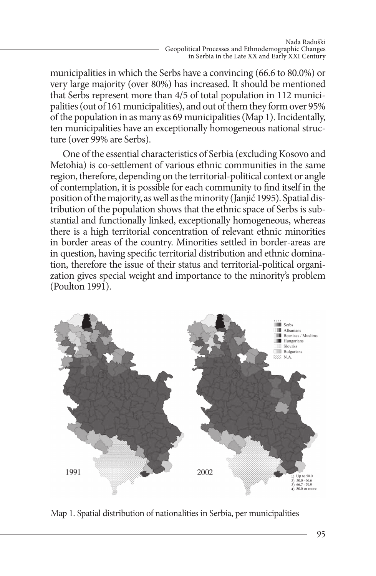municipalities in which the Serbs have a convincing (66.6 to 80.0%) or very large majority (over 80%) has increased. It should be mentioned that Serbs represent more than 4/5 of total population in 112 municipalities (out of 161 municipalities), and out of them they form over 95% of the population in as many as 69 municipalities (Map 1). Incidentally, ten municipalities have an exceptionally homogeneous national structure (over 99% are Serbs).

One of the essential characteristics of Serbia (excluding Kosovo and Metohia) is co-settlement of various ethnic communities in the same region, therefore, depending on the territorial-political context or angle of contemplation, it is possible for each community to find itself in the position of the majority, as well as the minority (Janjić 1995). Spatial distribution of the population shows that the ethnic space of Serbs is substantial and functionally linked, exceptionally homogeneous, whereas there is a high territorial concentration of relevant ethnic minorities in border areas of the country. Minorities settled in border-areas are in question, having specific territorial distribution and ethnic domination, therefore the issue of their status and territorial-political organization gives special weight and importance to the minority's problem (Poulton 1991).



Map 1. Spatial distribution of nationalities in Serbia, per municipalities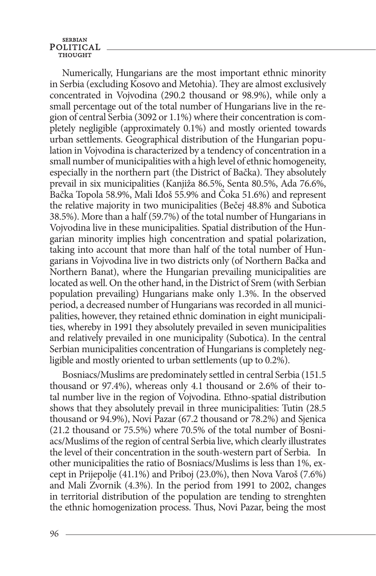Numerically, Hungarians are the most important ethnic minority in Serbia (excluding Kosovo and Metohia). They are almost exclusively concentrated in Vojvodina (290.2 thousand or 98.9%), while only a small percentage out of the total number of Hungarians live in the region of central Serbia (3092 or 1.1%) where their concentration is completely negligible (approximately 0.1%) and mostly oriented towards urban settlements. Geographical distribution of the Hungarian population in Vojvodina is characterized by a tendency of concentration in a small number of municipalities with a high level of ethnic homogeneity, especially in the northern part (the District of Bačka). They absolutely prevail in six municipalities (Kanjiža 86.5%, Senta 80.5%, Ada 76.6%, Bačka Topola 58.9%, Mali Iđoš 55.9% and Čoka 51.6%) and represent the relative majority in two municipalities (Bečej 48.8% and Subotica 38.5%). More than a half (59.7%) of the total number of Hungarians in Vojvodina live in these municipalities. Spatial distribution of the Hungarian minority implies high concentration and spatial polarization, taking into account that more than half of the total number of Hungarians in Vojvodina live in two districts only (of Northern Bačka and Northern Banat), where the Hungarian prevailing municipalities are located as well. On the other hand, in the District of Srem (with Serbian population prevailing) Hungarians make only 1.3%. In the observed period, a decreased number of Hungarians was recorded in all municipalities, however, they retained ethnic domination in eight municipalities, whereby in 1991 they absolutely prevailed in seven municipalities and relatively prevailed in one municipality (Subotica). In the central Serbian municipalities concentration of Hungarians is completely negligible and mostly oriented to urban settlements (up to 0.2%).

Bosniacs/Muslims are predominately settled in central Serbia (151.5 thousand or 97.4%), whereas only 4.1 thousand or 2.6% of their total number live in the region of Vojvodina. Ethno-spatial distribution shows that they absolutely prevail in three municipalities: Tutin (28.5 thousand or 94.9%), Novi Pazar (67.2 thousand or 78.2%) and Sjenica (21.2 thousand or 75.5%) where 70.5% of the total number of Bosniacs/Muslims of the region of central Serbia live, which clearly illustrates the level of their concentration in the south-western part of Serbia. In other municipalities the ratio of Bosniacs/Muslims is less than 1%, except in Prijepolje (41.1%) and Priboj (23.0%), then Nova Varoš (7.6%) and Mali Zvornik (4.3%). In the period from 1991 to 2002, changes in territorial distribution of the population are tending to strenghten the ethnic homogenization process. Thus, Novi Pazar, being the most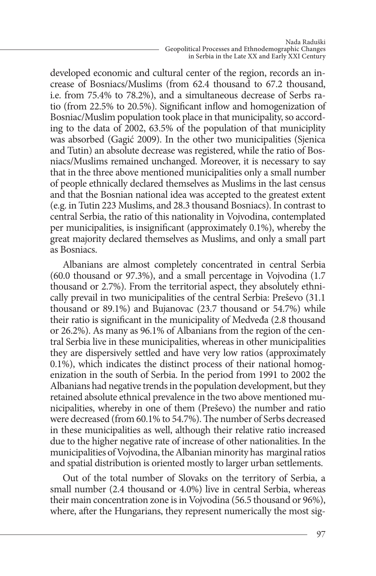developed economic and cultural center of the region, records an increase of Bosniacs/Muslims (from 62.4 thousand to 67.2 thousand, i.e. from 75.4% to 78.2%), and a simultaneous decrease of Serbs ratio (from 22.5% to 20.5%). Significant inflow and homogenization of Bosniac/Muslim population took place in that municipality, so according to the data of 2002, 63.5% of the population of that municiplity was absorbed (Gagić 2009). In the other two municipalities (Sjenica and Tutin) an absolute decrease was registered, while the ratio of Bosniacs/Muslims remained unchanged. Moreover, it is necessary to say that in the three above mentioned municipalities only a small number of people ethnically declared themselves as Muslims in the last census and that the Bosnian national idea was accepted to the greatest extent (e.g. in Tutin 223 Muslims, and 28.3 thousand Bosniacs). In contrast to central Serbia, the ratio of this nationality in Vojvodina, contemplated per municipalities, is insignificant (approximately 0.1%), whereby the great majority declared themselves as Muslims, and only a small part as Bosniacs.

Albanians are almost completely concentrated in central Serbia (60.0 thousand or 97.3%), and a small percentage in Vojvodina (1.7 thousand or 2.7%). From the territorial aspect, they absolutely ethnically prevail in two municipalities of the central Serbia: Preševo (31.1 thousand or 89.1%) and Bujanovac (23.7 thousand or 54.7%) while their ratio is significant in the municipality of Medveđa (2.8 thousand or 26.2%). As many as 96.1% of Albanians from the region of the central Serbia live in these municipalities, whereas in other municipalities they are dispersively settled and have very low ratios (approximately 0.1%), which indicates the distinct process of their national homogenization in the south of Serbia. In the period from 1991 to 2002 the Albanians had negative trends in the population development, but they retained absolute ethnical prevalence in the two above mentioned municipalities, whereby in one of them (Preševo) the number and ratio were decreased (from 60.1% to 54.7%). The number of Serbs decreased in these municipalities as well, although their relative ratio increased due to the higher negative rate of increase of other nationalities. In the municipalities of Vojvodina, the Albanian minority has marginal ratios and spatial distribution is oriented mostly to larger urban settlements.

Out of the total number of Slovaks on the territory of Serbia, a small number (2.4 thousand or 4.0%) live in central Serbia, whereas their main concentration zone is in Vojvodina (56.5 thousand or 96%), where, after the Hungarians, they represent numerically the most sig-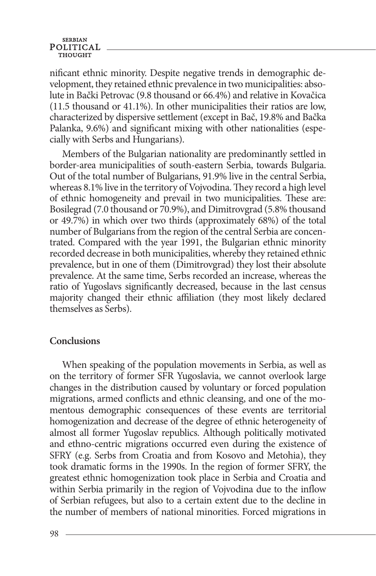### **SERBIAN** POLITICAL

nificant ethnic minority. Despite negative trends in demographic development, they retained ethnic prevalence in two municipalities: absolute in Bački Petrovac (9.8 thousand or 66.4%) and relative in Kovačica (11.5 thousand or 41.1%). In other municipalities their ratios are low, characterized by dispersive settlement (except in Bač, 19.8% and Bačka Palanka, 9.6%) and significant mixing with other nationalities (especially with Serbs and Hungarians).

Members of the Bulgarian nationality are predominantly settled in border-area municipalities of south-eastern Serbia, towards Bulgaria. Out of the total number of Bulgarians, 91.9% live in the central Serbia, whereas 8.1% live in the territory of Vojvodina. They record a high level of ethnic homogeneity and prevail in two municipalities. These are: Bosilegrad (7.0 thousand or 70.9%), and Dimitrovgrad (5.8% thousand or 49.7%) in which over two thirds (approximately 68%) of the total number of Bulgarians from the region of the central Serbia are concentrated. Compared with the year 1991, the Bulgarian ethnic minority recorded decrease in both municipalities, whereby they retained ethnic prevalence, but in one of them (Dimitrovgrad) they lost their absolute prevalence. At the same time, Serbs recorded an increase, whereas the ratio of Yugoslavs significantly decreased, because in the last census majority changed their ethnic affiliation (they most likely declared themselves as Serbs).

### **Conclusions**

When speaking of the population movements in Serbia, as well as on the territory of former SFR Yugoslavia, we cannot overlook large changes in the distribution caused by voluntary or forced population migrations, armed conflicts and ethnic cleansing, and one of the momentous demographic consequences of these events are territorial homogenization and decrease of the degree of ethnic heterogeneity of almost all former Yugoslav republics. Although politically motivated and ethno-centric migrations occurred even during the existence of SFRY (e.g. Serbs from Croatia and from Kosovo and Metohia), they took dramatic forms in the 1990s. In the region of former SFRY, the greatest ethnic homogenization took place in Serbia and Croatia and within Serbia primarily in the region of Vojvodina due to the inflow of Serbian refugees, but also to a certain extent due to the decline in the number of members of national minorities. Forced migrations in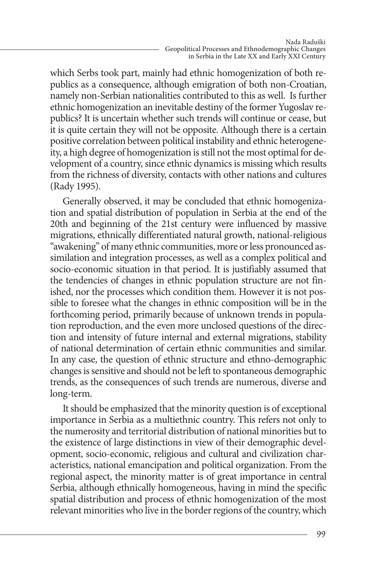which Serbs took part, mainly had ethnic homogenization of both republics as a consequence, although emigration of both non-Croatian, namely non-Serbian nationalities contributed to this as well. Is further ethnic homogenization an inevitable destiny of the former Yugoslav republics? It is uncertain whether such trends will continue or cease, but it is quite certain they will not be opposite. Although there is a certain positive correlation between political instability and ethnic heterogeneity, a high degree of homogenization is still not the most optimal for development of a country, since ethnic dynamics is missing which results from the richness of diversity, contacts with other nations and cultures (Rady 1995).

Generally observed, it may be concluded that ethnic homogenization and spatial distribution of population in Serbia at the end of the 20th and beginning of the 21st century were influenced by massive migrations, ethnically differentiated natural growth, national-religious "awakening" of many ethnic communities, more or less pronounced assimilation and integration processes, as well as a complex political and socio-economic situation in that period. It is justifiably assumed that the tendencies of changes in ethnic population structure are not finished, nor the processes which condition them. However it is not possible to foresee what the changes in ethnic composition will be in the forthcoming period, primarily because of unknown trends in population reproduction, and the even more unclosed questions of the direction and intensity of future internal and external migrations, stability of national determination of certain ethnic communities and similar. In any case, the question of ethnic structure and ethno-demographic changes is sensitive and should not be left to spontaneous demographic trends, as the consequences of such trends are numerous, diverse and long-term.

It should be emphasized that the minority question is of exceptional importance in Serbia as a multiethnic country. This refers not only to the numerosity and territorial distribution of national minorities but to the existence of large distinctions in view of their demographic development, socio-economic, religious and cultural and civilization characteristics, national emancipation and political organization. From the regional aspect, the minority matter is of great importance in central Serbia, although ethnically homogeneous, having in mind the specific spatial distribution and process of ethnic homogenization of the most relevant minorities who live in the border regions of the country, which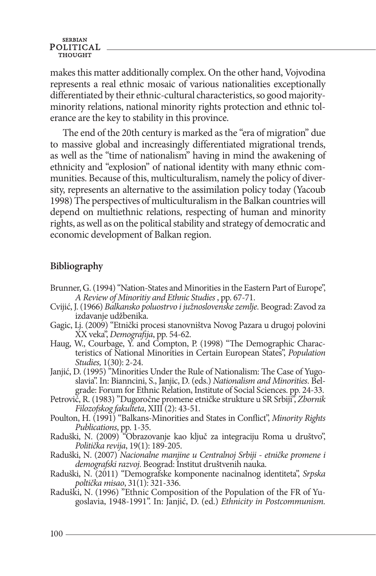makes this matter additionally complex. On the other hand, Vojvodina represents a real ethnic mosaic of various nationalities exceptionally differentiated by their ethnic-cultural characteristics, so good majorityminority relations, national minority rights protection and ethnic tolerance are the key to stability in this province.

The end of the 20th century is marked as the "era of migration" due to massive global and increasingly differentiated migrational trends, as well as the "time of nationalism" having in mind the awakening of ethnicity and "explosion" of national identity with many ethnic communities. Because of this, multiculturalism, namely the policy of diversity, represents an alternative to the assimilation policy today (Yacoub 1998) The perspectives of multiculturalism in the Balkan countries will depend on multiethnic relations, respecting of human and minority rights, as well as on the political stability and strategy of democratic and economic development of Balkan region.

# **Bibliography**

- Brunner, G. (1994) "Nation-States and Minorities in the Eastern Part of Europe", *A Review of Minoritiy and Ethnic Studies* , pp. 67-71.
- Cvijić, J. (1966) *Balkansko poluostrvo i južnoslovenske zemlje*. Beograd: Zavod za izdavanje udžbenika.
- Gagic, Lj. (2009) "Etnički procesi stanovništva Novog Pazara u drugoj polovini XX veka", *Demografija*, pp. 54-62.
- Haug, W., Courbage, Y. and Compton, P. (1998) "The Demographic Characteristics of National Minorities in Certain European States", *Population Studies,* 1(30): 2-24.
- Janjić, D. (1995) "Minorities Under the Rule of Nationalism: The Case of Yugoslavia". In: Bianncini, S., Janjic, D. (eds.) *Nationalism and Minorities*. Belgrade: Forum for Ethnic Relation, Institute of Social Sciences. pp. 24-33.
- Petrović, R. (1983) "Dugoročne promene etničke strukture u SR Srbiji", *Zbornik Filozofskog fakulteta*, XIII (2): 43-51.
- Poulton, H. (1991) "Balkans-Minorities and States in Conflict", *Minority Rights Publications*, pp. 1-35.
- Raduški, N. (2009) "Obrazovanje kao ključ za integraciju Roma u društvo", *Politička revija*, 19(1): 189-205.
- Raduški, N. (2007) *Nacionalne manjine u Centralnoj Srbiji etničke promene i demografski razvoj*. Beograd: Institut društvenih nauka.
- Raduški, N. (2011) "Demografske komponente nacinalnog identiteta", *Srpska poltička misao*, 31(1): 321-336.
- goslavia, 1948-1991". In: Janjić, D. (ed.) *Ethnicity in Postcommunism.*